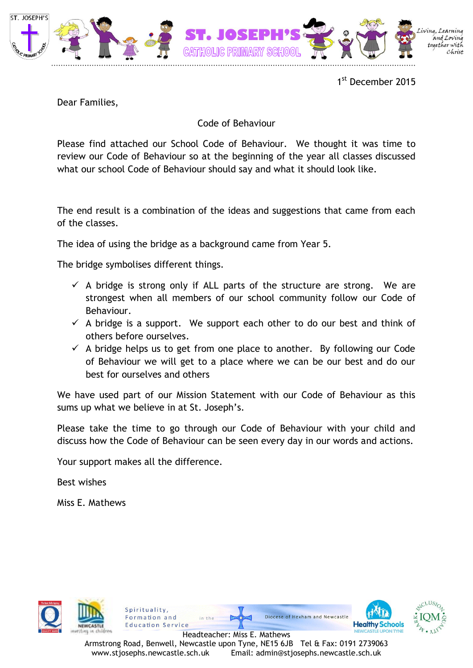

1st December 2015

Dear Families,

## Code of Behaviour

Please find attached our School Code of Behaviour. We thought it was time to review our Code of Behaviour so at the beginning of the year all classes discussed what our school Code of Behaviour should say and what it should look like.

The end result is a combination of the ideas and suggestions that came from each of the classes.

The idea of using the bridge as a background came from Year 5.

The bridge symbolises different things.

- $\checkmark$  A bridge is strong only if ALL parts of the structure are strong. We are strongest when all members of our school community follow our Code of Behaviour.
- $\checkmark$  A bridge is a support. We support each other to do our best and think of others before ourselves.
- $\checkmark$  A bridge helps us to get from one place to another. By following our Code of Behaviour we will get to a place where we can be our best and do our best for ourselves and others

We have used part of our Mission Statement with our Code of Behaviour as this sums up what we believe in at St. Joseph's.

Please take the time to go through our Code of Behaviour with your child and discuss how the Code of Behaviour can be seen every day in our words and actions.

Your support makes all the difference.

Spirituality,

Formation and

**Education Service** 

Best wishes

Miss E. Mathews





Headteacher: Miss E. Mathews Armstrong Road, Benwell, Newcastle upon Tyne, NE15 6JB Tel & Fax: 0191 2739063 www.stjosephs.newcastle.sch.uk Email: admin@stjosephs.newcastle.sch.uk

Diocese of Hexham and Newcastle